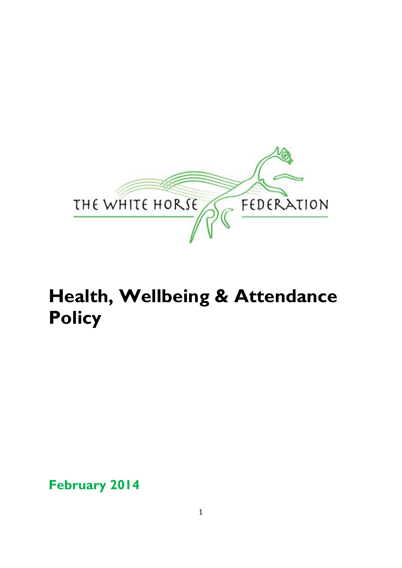

# **Health, Wellbeing & Attendance Policy**

**February 2014**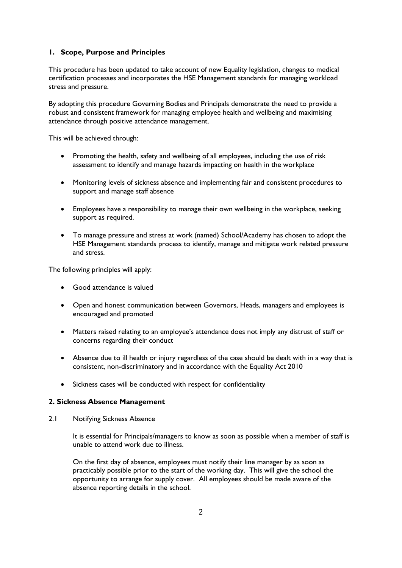# **1. Scope, Purpose and Principles**

This procedure has been updated to take account of new Equality legislation, changes to medical certification processes and incorporates the HSE Management standards for managing workload stress and pressure.

By adopting this procedure Governing Bodies and Principals demonstrate the need to provide a robust and consistent framework for managing employee health and wellbeing and maximising attendance through positive attendance management.

This will be achieved through:

- Promoting the health, safety and wellbeing of all employees, including the use of risk assessment to identify and manage hazards impacting on health in the workplace
- Monitoring levels of sickness absence and implementing fair and consistent procedures to support and manage staff absence
- Employees have a responsibility to manage their own wellbeing in the workplace, seeking support as required.
- To manage pressure and stress at work (named) School/Academy has chosen to adopt the HSE Management standards process to identify, manage and mitigate work related pressure and stress.

The following principles will apply:

- Good attendance is valued
- Open and honest communication between Governors, Heads, managers and employees is encouraged and promoted
- Matters raised relating to an employee's attendance does not imply any distrust of staff or concerns regarding their conduct
- Absence due to ill health or injury regardless of the case should be dealt with in a way that is consistent, non-discriminatory and in accordance with the Equality Act 2010
- Sickness cases will be conducted with respect for confidentiality

#### **2. Sickness Absence Management**

2.1 Notifying Sickness Absence

It is essential for Principals/managers to know as soon as possible when a member of staff is unable to attend work due to illness.

On the first day of absence, employees must notify their line manager by as soon as practicably possible prior to the start of the working day. This will give the school the opportunity to arrange for supply cover. All employees should be made aware of the absence reporting details in the school.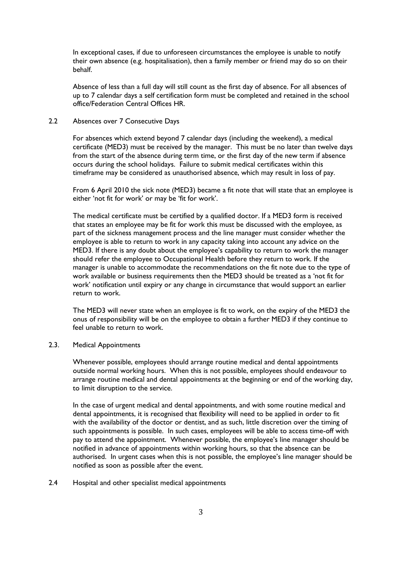In exceptional cases, if due to unforeseen circumstances the employee is unable to notify their own absence (e.g. hospitalisation), then a family member or friend may do so on their behalf.

Absence of less than a full day will still count as the first day of absence. For all absences of up to 7 calendar days a self certification form must be completed and retained in the school office/Federation Central Offices HR.

## 2.2 Absences over 7 Consecutive Days

For absences which extend beyond 7 calendar days (including the weekend), a medical certificate (MED3) must be received by the manager. This must be no later than twelve days from the start of the absence during term time, or the first day of the new term if absence occurs during the school holidays. Failure to submit medical certificates within this timeframe may be considered as unauthorised absence, which may result in loss of pay.

From 6 April 2010 the sick note (MED3) became a fit note that will state that an employee is either 'not fit for work' or may be 'fit for work'.

The medical certificate must be certified by a qualified doctor. If a MED3 form is received that states an employee may be fit for work this must be discussed with the employee, as part of the sickness management process and the line manager must consider whether the employee is able to return to work in any capacity taking into account any advice on the MED3. If there is any doubt about the employee's capability to return to work the manager should refer the employee to Occupational Health before they return to work. If the manager is unable to accommodate the recommendations on the fit note due to the type of work available or business requirements then the MED3 should be treated as a 'not fit for work' notification until expiry or any change in circumstance that would support an earlier return to work.

The MED3 will never state when an employee is fit to work, on the expiry of the MED3 the onus of responsibility will be on the employee to obtain a further MED3 if they continue to feel unable to return to work.

# 2.3. Medical Appointments

Whenever possible, employees should arrange routine medical and dental appointments outside normal working hours. When this is not possible, employees should endeavour to arrange routine medical and dental appointments at the beginning or end of the working day, to limit disruption to the service.

In the case of urgent medical and dental appointments, and with some routine medical and dental appointments, it is recognised that flexibility will need to be applied in order to fit with the availability of the doctor or dentist, and as such, little discretion over the timing of such appointments is possible. In such cases, employees will be able to access time-off with pay to attend the appointment. Whenever possible, the employee's line manager should be notified in advance of appointments within working hours, so that the absence can be authorised. In urgent cases when this is not possible, the employee's line manager should be notified as soon as possible after the event.

#### 2.4 Hospital and other specialist medical appointments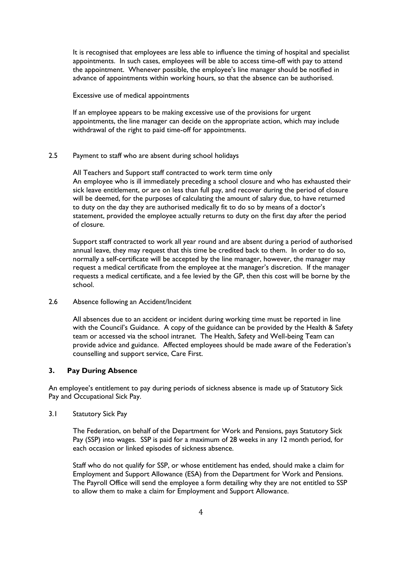It is recognised that employees are less able to influence the timing of hospital and specialist appointments. In such cases, employees will be able to access time-off with pay to attend the appointment. Whenever possible, the employee's line manager should be notified in advance of appointments within working hours, so that the absence can be authorised.

#### Excessive use of medical appointments

If an employee appears to be making excessive use of the provisions for urgent appointments, the line manager can decide on the appropriate action, which may include withdrawal of the right to paid time-off for appointments.

#### 2.5 Payment to staff who are absent during school holidays

All Teachers and Support staff contracted to work term time only An employee who is ill immediately preceding a school closure and who has exhausted their sick leave entitlement, or are on less than full pay, and recover during the period of closure will be deemed, for the purposes of calculating the amount of salary due, to have returned to duty on the day they are authorised medically fit to do so by means of a doctor's statement, provided the employee actually returns to duty on the first day after the period of closure.

Support staff contracted to work all year round and are absent during a period of authorised annual leave, they may request that this time be credited back to them. In order to do so, normally a self-certificate will be accepted by the line manager, however, the manager may request a medical certificate from the employee at the manager's discretion. If the manager requests a medical certificate, and a fee levied by the GP, then this cost will be borne by the school.

#### 2.6 Absence following an Accident/Incident

All absences due to an accident or incident during working time must be reported in line with the Council's Guidance. A copy of the guidance can be provided by the Health & Safety team or accessed via the school intranet. The Health, Safety and Well-being Team can provide advice and guidance. Affected employees should be made aware of the Federation's counselling and support service, Care First.

#### **3. Pay During Absence**

An employee's entitlement to pay during periods of sickness absence is made up of Statutory Sick Pay and Occupational Sick Pay.

#### 3.1 Statutory Sick Pay

The Federation, on behalf of the Department for Work and Pensions, pays Statutory Sick Pay (SSP) into wages. SSP is paid for a maximum of 28 weeks in any 12 month period, for each occasion or linked episodes of sickness absence.

Staff who do not qualify for SSP, or whose entitlement has ended, should make a claim for Employment and Support Allowance (ESA) from the Department for Work and Pensions. The Payroll Office will send the employee a form detailing why they are not entitled to SSP to allow them to make a claim for Employment and Support Allowance.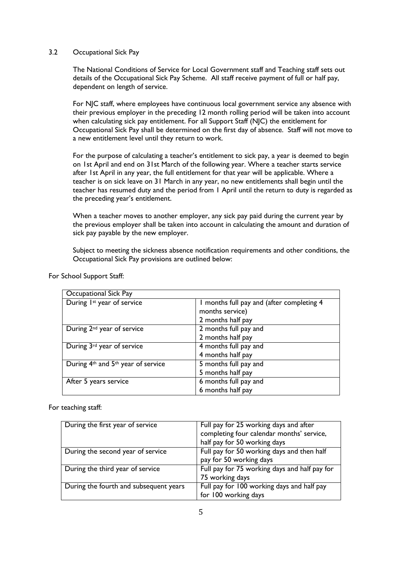## 3.2 Occupational Sick Pay

The National Conditions of Service for Local Government staff and Teaching staff sets out details of the Occupational Sick Pay Scheme. All staff receive payment of full or half pay, dependent on length of service.

For NJC staff, where employees have continuous local government service any absence with their previous employer in the preceding 12 month rolling period will be taken into account when calculating sick pay entitlement. For all Support Staff (NJC) the entitlement for Occupational Sick Pay shall be determined on the first day of absence. Staff will not move to a new entitlement level until they return to work.

For the purpose of calculating a teacher's entitlement to sick pay, a year is deemed to begin on 1st April and end on 31st March of the following year. Where a teacher starts service after 1st April in any year, the full entitlement for that year will be applicable. Where a teacher is on sick leave on 31 March in any year, no new entitlements shall begin until the teacher has resumed duty and the period from 1 April until the return to duty is regarded as the preceding year's entitlement.

When a teacher moves to another employer, any sick pay paid during the current year by the previous employer shall be taken into account in calculating the amount and duration of sick pay payable by the new employer.

Subject to meeting the sickness absence notification requirements and other conditions, the Occupational Sick Pay provisions are outlined below:

| Occupational Sick Pay                  |                                           |  |  |  |
|----------------------------------------|-------------------------------------------|--|--|--|
| During 1st year of service             | I months full pay and (after completing 4 |  |  |  |
|                                        | months service)                           |  |  |  |
|                                        | 2 months half pay                         |  |  |  |
| During 2 <sup>nd</sup> year of service | 2 months full pay and                     |  |  |  |
|                                        | 2 months half pay                         |  |  |  |
| During 3rd year of service             | 4 months full pay and                     |  |  |  |
|                                        | 4 months half pay                         |  |  |  |
| During 4th and 5th year of service     | 5 months full pay and                     |  |  |  |
|                                        | 5 months half pay                         |  |  |  |
| After 5 years service                  | 6 months full pay and                     |  |  |  |
|                                        | 6 months half pay                         |  |  |  |

For School Support Staff:

For teaching staff:

| During the first year of service       | Full pay for 25 working days and after        |  |  |  |
|----------------------------------------|-----------------------------------------------|--|--|--|
|                                        | completing four calendar months' service,     |  |  |  |
|                                        | half pay for 50 working days                  |  |  |  |
| During the second year of service      | Full pay for 50 working days and then half    |  |  |  |
|                                        | pay for 50 working days                       |  |  |  |
| During the third year of service       | Full pay for 75 working days and half pay for |  |  |  |
|                                        | 75 working days                               |  |  |  |
| During the fourth and subsequent years | Full pay for 100 working days and half pay    |  |  |  |
|                                        | for 100 working days                          |  |  |  |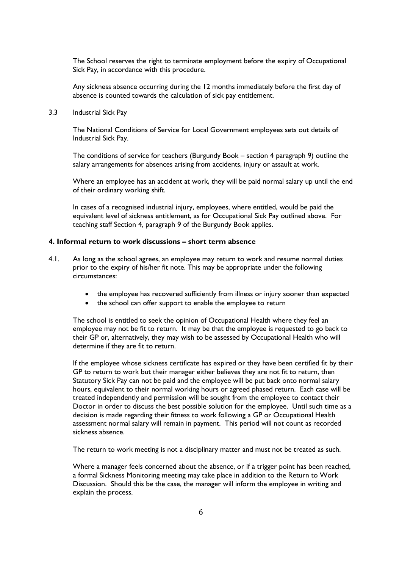The School reserves the right to terminate employment before the expiry of Occupational Sick Pay, in accordance with this procedure.

Any sickness absence occurring during the 12 months immediately before the first day of absence is counted towards the calculation of sick pay entitlement.

3.3 Industrial Sick Pay

The National Conditions of Service for Local Government employees sets out details of Industrial Sick Pay.

The conditions of service for teachers (Burgundy Book – section 4 paragraph 9) outline the salary arrangements for absences arising from accidents, injury or assault at work.

Where an employee has an accident at work, they will be paid normal salary up until the end of their ordinary working shift.

In cases of a recognised industrial injury, employees, where entitled, would be paid the equivalent level of sickness entitlement, as for Occupational Sick Pay outlined above. For teaching staff Section 4, paragraph 9 of the Burgundy Book applies.

# **4. Informal return to work discussions – short term absence**

- 4.1. As long as the school agrees, an employee may return to work and resume normal duties prior to the expiry of his/her fit note. This may be appropriate under the following circumstances:
	- the employee has recovered sufficiently from illness or injury sooner than expected
	- the school can offer support to enable the employee to return

The school is entitled to seek the opinion of Occupational Health where they feel an employee may not be fit to return. It may be that the employee is requested to go back to their GP or, alternatively, they may wish to be assessed by Occupational Health who will determine if they are fit to return.

If the employee whose sickness certificate has expired or they have been certified fit by their GP to return to work but their manager either believes they are not fit to return, then Statutory Sick Pay can not be paid and the employee will be put back onto normal salary hours, equivalent to their normal working hours or agreed phased return. Each case will be treated independently and permission will be sought from the employee to contact their Doctor in order to discuss the best possible solution for the employee. Until such time as a decision is made regarding their fitness to work following a GP or Occupational Health assessment normal salary will remain in payment. This period will not count as recorded sickness absence.

The return to work meeting is not a disciplinary matter and must not be treated as such.

Where a manager feels concerned about the absence, or if a trigger point has been reached, a formal Sickness Monitoring meeting may take place in addition to the Return to Work Discussion. Should this be the case, the manager will inform the employee in writing and explain the process.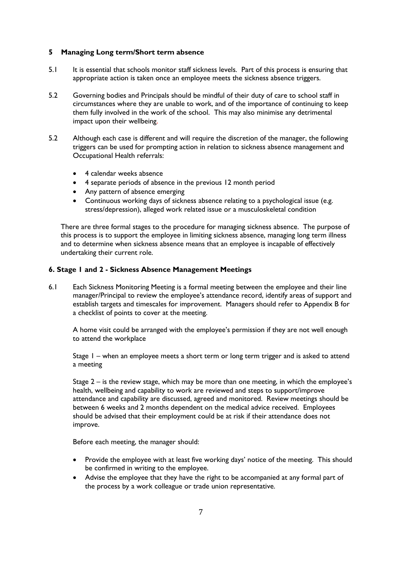# **5 Managing Long term/Short term absence**

- 5.1 It is essential that schools monitor staff sickness levels. Part of this process is ensuring that appropriate action is taken once an employee meets the sickness absence triggers.
- 5.2 Governing bodies and Principals should be mindful of their duty of care to school staff in circumstances where they are unable to work, and of the importance of continuing to keep them fully involved in the work of the school. This may also minimise any detrimental impact upon their wellbeing.
- 5.2 Although each case is different and will require the discretion of the manager, the following triggers can be used for prompting action in relation to sickness absence management and Occupational Health referrals:
	- 4 calendar weeks absence
	- 4 separate periods of absence in the previous 12 month period
	- Any pattern of absence emerging
	- Continuous working days of sickness absence relating to a psychological issue (e.g. stress/depression), alleged work related issue or a musculoskeletal condition

There are three formal stages to the procedure for managing sickness absence. The purpose of this process is to support the employee in limiting sickness absence, managing long term illness and to determine when sickness absence means that an employee is incapable of effectively undertaking their current role.

# **6. Stage 1 and 2 - Sickness Absence Management Meetings**

6.1 Each Sickness Monitoring Meeting is a formal meeting between the employee and their line manager/Principal to review the employee's attendance record, identify areas of support and establish targets and timescales for improvement. Managers should refer to Appendix B for a checklist of points to cover at the meeting.

A home visit could be arranged with the employee's permission if they are not well enough to attend the workplace

Stage 1 – when an employee meets a short term or long term trigger and is asked to attend a meeting

Stage 2 – is the review stage, which may be more than one meeting, in which the employee's health, wellbeing and capability to work are reviewed and steps to support/improve attendance and capability are discussed, agreed and monitored. Review meetings should be between 6 weeks and 2 months dependent on the medical advice received. Employees should be advised that their employment could be at risk if their attendance does not improve.

Before each meeting, the manager should:

- Provide the employee with at least five working days' notice of the meeting. This should be confirmed in writing to the employee.
- Advise the employee that they have the right to be accompanied at any formal part of the process by a work colleague or trade union representative.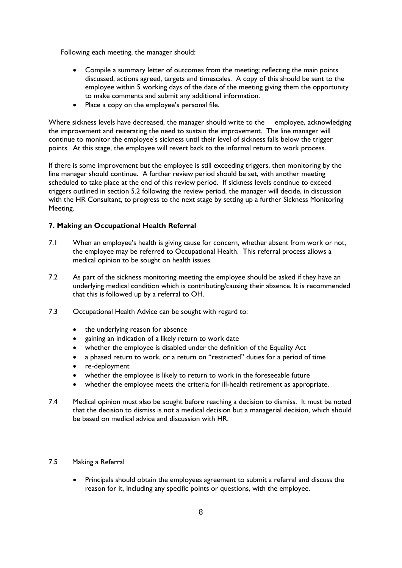Following each meeting, the manager should:

- Compile a summary letter of outcomes from the meeting; reflecting the main points discussed, actions agreed, targets and timescales. A copy of this should be sent to the employee within 5 working days of the date of the meeting giving them the opportunity to make comments and submit any additional information.
- Place a copy on the employee's personal file.

Where sickness levels have decreased, the manager should write to the employee, acknowledging the improvement and reiterating the need to sustain the improvement. The line manager will continue to monitor the employee's sickness until their level of sickness falls below the trigger points. At this stage, the employee will revert back to the informal return to work process.

If there is some improvement but the employee is still exceeding triggers, then monitoring by the line manager should continue. A further review period should be set, with another meeting scheduled to take place at the end of this review period. If sickness levels continue to exceed triggers outlined in section 5.2 following the review period, the manager will decide, in discussion with the HR Consultant, to progress to the next stage by setting up a further Sickness Monitoring Meeting.

# **7. Making an Occupational Health Referral**

- 7.1 When an employee's health is giving cause for concern, whether absent from work or not, the employee may be referred to Occupational Health. This referral process allows a medical opinion to be sought on health issues.
- 7.2 As part of the sickness monitoring meeting the employee should be asked if they have an underlying medical condition which is contributing/causing their absence. It is recommended that this is followed up by a referral to OH.
- 7.3 Occupational Health Advice can be sought with regard to:
	- the underlying reason for absence
	- gaining an indication of a likely return to work date
	- whether the employee is disabled under the definition of the Equality Act
	- a phased return to work, or a return on "restricted" duties for a period of time
	- re-deployment
	- whether the employee is likely to return to work in the foreseeable future
	- whether the employee meets the criteria for ill-health retirement as appropriate.
- 7.4 Medical opinion must also be sought before reaching a decision to dismiss. It must be noted that the decision to dismiss is not a medical decision but a managerial decision, which should be based on medical advice and discussion with HR.
- 7.5 Making a Referral
	- Principals should obtain the employees agreement to submit a referral and discuss the reason for it, including any specific points or questions, with the employee.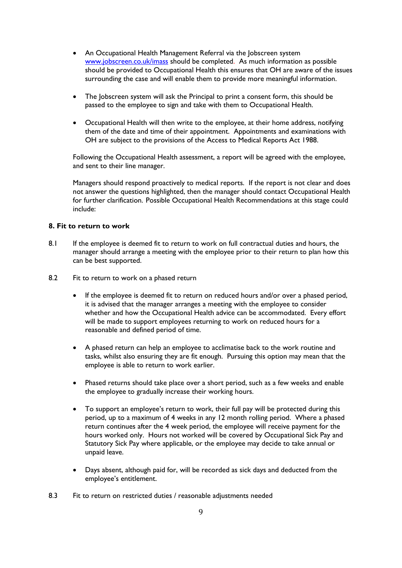- An Occupational Health Management Referral via the Jobscreen system [www.jobscreen.co.uk/imass](http://www.jobscreen.co.uk/imass) should be completed. As much information as possible should be provided to Occupational Health this ensures that OH are aware of the issues surrounding the case and will enable them to provide more meaningful information.
- The Jobscreen system will ask the Principal to print a consent form, this should be passed to the employee to sign and take with them to Occupational Health.
- Occupational Health will then write to the employee, at their home address, notifying them of the date and time of their appointment. Appointments and examinations with OH are subject to the provisions of the Access to Medical Reports Act 1988.

Following the Occupational Health assessment, a report will be agreed with the employee, and sent to their line manager.

Managers should respond proactively to medical reports. If the report is not clear and does not answer the questions highlighted, then the manager should contact Occupational Health for further clarification. Possible Occupational Health Recommendations at this stage could include:

#### **8. Fit to return to work**

- 8.1 If the employee is deemed fit to return to work on full contractual duties and hours, the manager should arrange a meeting with the employee prior to their return to plan how this can be best supported.
- 8.2 Fit to return to work on a phased return
	- If the employee is deemed fit to return on reduced hours and/or over a phased period, it is advised that the manager arranges a meeting with the employee to consider whether and how the Occupational Health advice can be accommodated. Every effort will be made to support employees returning to work on reduced hours for a reasonable and defined period of time.
	- A phased return can help an employee to acclimatise back to the work routine and tasks, whilst also ensuring they are fit enough. Pursuing this option may mean that the employee is able to return to work earlier.
	- Phased returns should take place over a short period, such as a few weeks and enable the employee to gradually increase their working hours.
	- To support an employee's return to work, their full pay will be protected during this period, up to a maximum of 4 weeks in any 12 month rolling period. Where a phased return continues after the 4 week period, the employee will receive payment for the hours worked only. Hours not worked will be covered by Occupational Sick Pay and Statutory Sick Pay where applicable, or the employee may decide to take annual or unpaid leave.
	- Days absent, although paid for, will be recorded as sick days and deducted from the employee's entitlement.
- 8.3 Fit to return on restricted duties / reasonable adjustments needed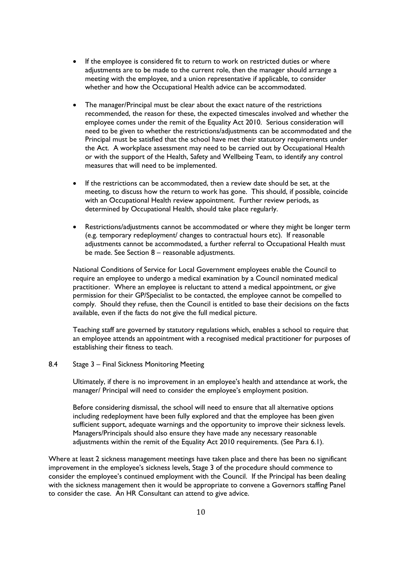- If the employee is considered fit to return to work on restricted duties or where adjustments are to be made to the current role, then the manager should arrange a meeting with the employee, and a union representative if applicable, to consider whether and how the Occupational Health advice can be accommodated.
- The manager/Principal must be clear about the exact nature of the restrictions recommended, the reason for these, the expected timescales involved and whether the employee comes under the remit of the Equality Act 2010. Serious consideration will need to be given to whether the restrictions/adjustments can be accommodated and the Principal must be satisfied that the school have met their statutory requirements under the Act. A workplace assessment may need to be carried out by Occupational Health or with the support of the Health, Safety and Wellbeing Team, to identify any control measures that will need to be implemented.
- If the restrictions can be accommodated, then a review date should be set, at the meeting, to discuss how the return to work has gone. This should, if possible, coincide with an Occupational Health review appointment. Further review periods, as determined by Occupational Health, should take place regularly.
- Restrictions/adjustments cannot be accommodated or where they might be longer term (e.g. temporary redeployment/ changes to contractual hours etc). If reasonable adjustments cannot be accommodated, a further referral to Occupational Health must be made. See Section 8 – reasonable adjustments.

National Conditions of Service for Local Government employees enable the Council to require an employee to undergo a medical examination by a Council nominated medical practitioner. Where an employee is reluctant to attend a medical appointment, or give permission for their GP/Specialist to be contacted, the employee cannot be compelled to comply. Should they refuse, then the Council is entitled to base their decisions on the facts available, even if the facts do not give the full medical picture.

Teaching staff are governed by statutory regulations which, enables a school to require that an employee attends an appointment with a recognised medical practitioner for purposes of establishing their fitness to teach.

# 8.4 Stage 3 – Final Sickness Monitoring Meeting

Ultimately, if there is no improvement in an employee's health and attendance at work, the manager/ Principal will need to consider the employee's employment position.

Before considering dismissal, the school will need to ensure that all alternative options including redeployment have been fully explored and that the employee has been given sufficient support, adequate warnings and the opportunity to improve their sickness levels. Managers/Principals should also ensure they have made any necessary reasonable adjustments within the remit of the Equality Act 2010 requirements. (See Para 6.1).

Where at least 2 sickness management meetings have taken place and there has been no significant improvement in the employee's sickness levels, Stage 3 of the procedure should commence to consider the employee's continued employment with the Council. If the Principal has been dealing with the sickness management then it would be appropriate to convene a Governors staffing Panel to consider the case. An HR Consultant can attend to give advice.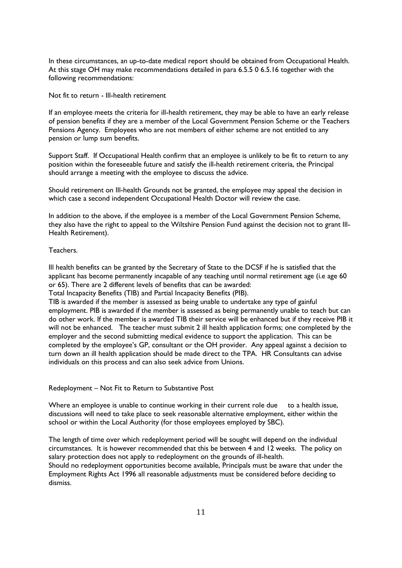In these circumstances, an up-to-date medical report should be obtained from Occupational Health. At this stage OH may make recommendations detailed in para 6.5.5 0 6.5.16 together with the following recommendations:

Not fit to return - Ill-health retirement

If an employee meets the criteria for ill-health retirement, they may be able to have an early release of pension benefits if they are a member of the Local Government Pension Scheme or the Teachers Pensions Agency. Employees who are not members of either scheme are not entitled to any pension or lump sum benefits.

Support Staff. If Occupational Health confirm that an employee is unlikely to be fit to return to any position within the foreseeable future and satisfy the ill-health retirement criteria, the Principal should arrange a meeting with the employee to discuss the advice.

Should retirement on Ill-health Grounds not be granted, the employee may appeal the decision in which case a second independent Occupational Health Doctor will review the case.

In addition to the above, if the employee is a member of the Local Government Pension Scheme, they also have the right to appeal to the Wiltshire Pension Fund against the decision not to grant Ill-Health Retirement).

Teachers.

Ill health benefits can be granted by the Secretary of State to the DCSF if he is satisfied that the applicant has become permanently incapable of any teaching until normal retirement age (i.e age 60 or 65). There are 2 different levels of benefits that can be awarded:

Total Incapacity Benefits (TIB) and Partial Incapacity Benefits (PIB).

TIB is awarded if the member is assessed as being unable to undertake any type of gainful employment. PIB is awarded if the member is assessed as being permanently unable to teach but can do other work. If the member is awarded TIB their service will be enhanced but if they receive PIB it will not be enhanced. The teacher must submit 2 ill health application forms; one completed by the employer and the second submitting medical evidence to support the application. This can be completed by the employee's GP, consultant or the OH provider. Any appeal against a decision to turn down an ill health application should be made direct to the TPA. HR Consultants can advise individuals on this process and can also seek advice from Unions.

Redeployment – Not Fit to Return to Substantive Post

Where an employee is unable to continue working in their current role due to a health issue, discussions will need to take place to seek reasonable alternative employment, either within the school or within the Local Authority (for those employees employed by SBC).

The length of time over which redeployment period will be sought will depend on the individual circumstances. It is however recommended that this be between 4 and 12 weeks. The policy on salary protection does not apply to redeployment on the grounds of ill-health.

Should no redeployment opportunities become available, Principals must be aware that under the Employment Rights Act 1996 all reasonable adjustments must be considered before deciding to dismiss.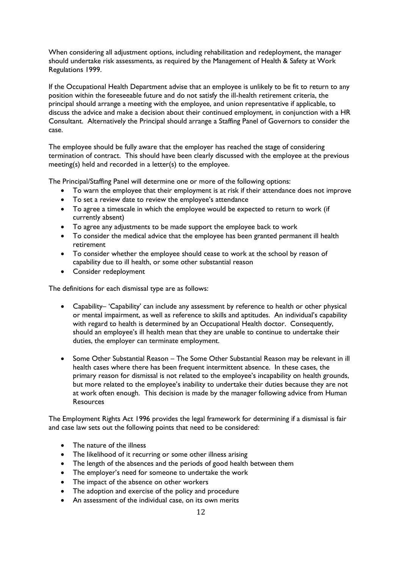When considering all adjustment options, including rehabilitation and redeployment, the manager should undertake risk assessments, as required by the Management of Health & Safety at Work Regulations 1999.

If the Occupational Health Department advise that an employee is unlikely to be fit to return to any position within the foreseeable future and do not satisfy the ill-health retirement criteria, the principal should arrange a meeting with the employee, and union representative if applicable, to discuss the advice and make a decision about their continued employment, in conjunction with a HR Consultant. Alternatively the Principal should arrange a Staffing Panel of Governors to consider the case.

The employee should be fully aware that the employer has reached the stage of considering termination of contract. This should have been clearly discussed with the employee at the previous meeting(s) held and recorded in a letter(s) to the employee.

The Principal/Staffing Panel will determine one or more of the following options:

- To warn the employee that their employment is at risk if their attendance does not improve
- To set a review date to review the employee's attendance
- To agree a timescale in which the employee would be expected to return to work (if currently absent)
- To agree any adjustments to be made support the employee back to work
- To consider the medical advice that the employee has been granted permanent ill health retirement
- To consider whether the employee should cease to work at the school by reason of capability due to ill health, or some other substantial reason
- Consider redeployment

The definitions for each dismissal type are as follows:

- Capability– 'Capability' can include any assessment by reference to health or other physical or mental impairment, as well as reference to skills and aptitudes. An individual's capability with regard to health is determined by an Occupational Health doctor. Consequently, should an employee's ill health mean that they are unable to continue to undertake their duties, the employer can terminate employment.
- Some Other Substantial Reason The Some Other Substantial Reason may be relevant in ill health cases where there has been frequent intermittent absence. In these cases, the primary reason for dismissal is not related to the employee's incapability on health grounds, but more related to the employee's inability to undertake their duties because they are not at work often enough. This decision is made by the manager following advice from Human Resources

The Employment Rights Act 1996 provides the legal framework for determining if a dismissal is fair and case law sets out the following points that need to be considered:

- The nature of the illness
- The likelihood of it recurring or some other illness arising
- The length of the absences and the periods of good health between them
- The employer's need for someone to undertake the work
- The impact of the absence on other workers
- The adoption and exercise of the policy and procedure
- An assessment of the individual case, on its own merits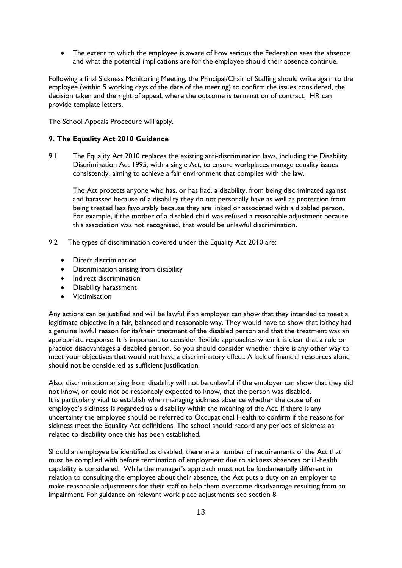The extent to which the employee is aware of how serious the Federation sees the absence and what the potential implications are for the employee should their absence continue.

Following a final Sickness Monitoring Meeting, the Principal/Chair of Staffing should write again to the employee (within 5 working days of the date of the meeting) to confirm the issues considered, the decision taken and the right of appeal, where the outcome is termination of contract. HR can provide template letters.

The School Appeals Procedure will apply.

# **9. The Equality Act 2010 Guidance**

9.1 The Equality Act 2010 replaces the existing anti-discrimination laws, including the Disability Discrimination Act 1995, with a single Act, to ensure workplaces manage equality issues consistently, aiming to achieve a fair environment that complies with the law.

The Act protects anyone who has, or has had, a disability, from being discriminated against and harassed because of a disability they do not personally have as well as protection from being treated less favourably because they are linked or associated with a disabled person. For example, if the mother of a disabled child was refused a reasonable adjustment because this association was not recognised, that would be unlawful discrimination.

- 9.2 The types of discrimination covered under the Equality Act 2010 are:
	- Direct discrimination
	- Discrimination arising from disability
	- Indirect discrimination
	- Disability harassment
	- **•** Victimisation

Any actions can be justified and will be lawful if an employer can show that they intended to meet a legitimate objective in a fair, balanced and reasonable way. They would have to show that it/they had a genuine lawful reason for its/their treatment of the disabled person and that the treatment was an appropriate response. It is important to consider flexible approaches when it is clear that a rule or practice disadvantages a disabled person. So you should consider whether there is any other way to meet your objectives that would not have a discriminatory effect. A lack of financial resources alone should not be considered as sufficient justification.

Also, discrimination arising from disability will not be unlawful if the employer can show that they did not know, or could not be reasonably expected to know, that the person was disabled. It is particularly vital to establish when managing sickness absence whether the cause of an employee's sickness is regarded as a disability within the meaning of the Act. If there is any uncertainty the employee should be referred to Occupational Health to confirm if the reasons for sickness meet the Equality Act definitions. The school should record any periods of sickness as related to disability once this has been established.

Should an employee be identified as disabled, there are a number of requirements of the Act that must be complied with before termination of employment due to sickness absences or ill-health capability is considered. While the manager's approach must not be fundamentally different in relation to consulting the employee about their absence, the Act puts a duty on an employer to make reasonable adjustments for their staff to help them overcome disadvantage resulting from an impairment. For guidance on relevant work place adjustments see section 8.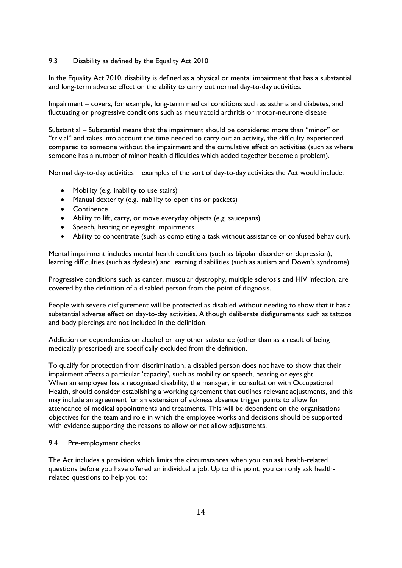# 9.3 Disability as defined by the Equality Act 2010

In the Equality Act 2010, disability is defined as a physical or mental impairment that has a substantial and long-term adverse effect on the ability to carry out normal day-to-day activities.

Impairment – covers, for example, long-term medical conditions such as asthma and diabetes, and fluctuating or progressive conditions such as rheumatoid arthritis or motor-neurone disease

Substantial – Substantial means that the impairment should be considered more than "minor" or "trivial" and takes into account the time needed to carry out an activity, the difficulty experienced compared to someone without the impairment and the cumulative effect on activities (such as where someone has a number of minor health difficulties which added together become a problem).

Normal day-to-day activities – examples of the sort of day-to-day activities the Act would include:

- Mobility (e.g. inability to use stairs)
- Manual dexterity (e.g. inability to open tins or packets)
- Continence
- Ability to lift, carry, or move everyday objects (e.g. saucepans)
- Speech, hearing or eyesight impairments
- Ability to concentrate (such as completing a task without assistance or confused behaviour).

Mental impairment includes mental health conditions (such as bipolar disorder or depression), learning difficulties (such as dyslexia) and learning disabilities (such as autism and Down's syndrome).

Progressive conditions such as cancer, muscular dystrophy, multiple sclerosis and HIV infection, are covered by the definition of a disabled person from the point of diagnosis.

People with severe disfigurement will be protected as disabled without needing to show that it has a substantial adverse effect on day-to-day activities. Although deliberate disfigurements such as tattoos and body piercings are not included in the definition.

Addiction or dependencies on alcohol or any other substance (other than as a result of being medically prescribed) are specifically excluded from the definition.

To qualify for protection from discrimination, a disabled person does not have to show that their impairment affects a particular 'capacity', such as mobility or speech, hearing or eyesight. When an employee has a recognised disability, the manager, in consultation with Occupational Health, should consider establishing a working agreement that outlines relevant adjustments, and this may include an agreement for an extension of sickness absence trigger points to allow for attendance of medical appointments and treatments. This will be dependent on the organisations objectives for the team and role in which the employee works and decisions should be supported with evidence supporting the reasons to allow or not allow adjustments.

#### 9.4 Pre-employment checks

The Act includes a provision which limits the circumstances when you can ask health-related questions before you have offered an individual a job. Up to this point, you can only ask healthrelated questions to help you to: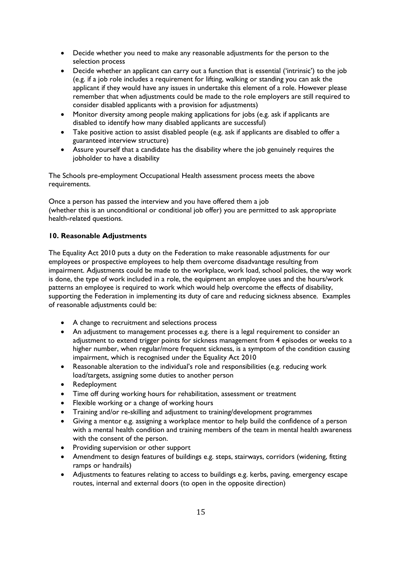- Decide whether you need to make any reasonable adjustments for the person to the selection process
- Decide whether an applicant can carry out a function that is essential ('intrinsic') to the job (e.g. if a job role includes a requirement for lifting, walking or standing you can ask the applicant if they would have any issues in undertake this element of a role. However please remember that when adjustments could be made to the role employers are still required to consider disabled applicants with a provision for adjustments)
- Monitor diversity among people making applications for jobs (e.g. ask if applicants are disabled to identify how many disabled applicants are successful)
- Take positive action to assist disabled people (e.g. ask if applicants are disabled to offer a guaranteed interview structure)
- Assure yourself that a candidate has the disability where the job genuinely requires the jobholder to have a disability

The Schools pre-employment Occupational Health assessment process meets the above requirements.

Once a person has passed the interview and you have offered them a job (whether this is an unconditional or conditional job offer) you are permitted to ask appropriate health-related questions.

# **10. Reasonable Adjustments**

The Equality Act 2010 puts a duty on the Federation to make reasonable adjustments for our employees or prospective employees to help them overcome disadvantage resulting from impairment. Adjustments could be made to the workplace, work load, school policies, the way work is done, the type of work included in a role, the equipment an employee uses and the hours/work patterns an employee is required to work which would help overcome the effects of disability, supporting the Federation in implementing its duty of care and reducing sickness absence. Examples of reasonable adjustments could be:

- A change to recruitment and selections process
- An adjustment to management processes e.g. there is a legal requirement to consider an adjustment to extend trigger points for sickness management from 4 episodes or weeks to a higher number, when regular/more frequent sickness, is a symptom of the condition causing impairment, which is recognised under the Equality Act 2010
- Reasonable alteration to the individual's role and responsibilities (e.g. reducing work load/targets, assigning some duties to another person
- Redeployment
- Time off during working hours for rehabilitation, assessment or treatment
- Flexible working or a change of working hours
- Training and/or re-skilling and adjustment to training/development programmes
- Giving a mentor e.g. assigning a workplace mentor to help build the confidence of a person with a mental health condition and training members of the team in mental health awareness with the consent of the person.
- Providing supervision or other support
- Amendment to design features of buildings e.g. steps, stairways, corridors (widening, fitting ramps or handrails)
- Adjustments to features relating to access to buildings e.g. kerbs, paving, emergency escape routes, internal and external doors (to open in the opposite direction)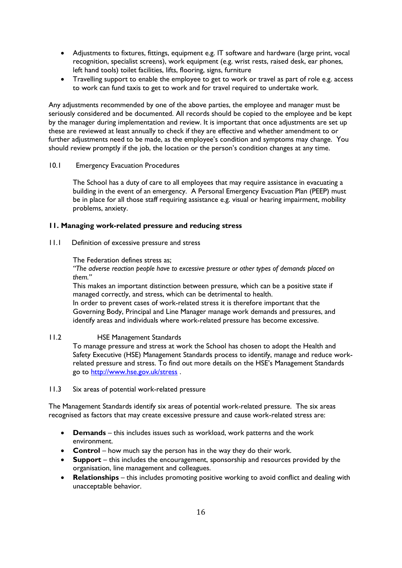- Adjustments to fixtures, fittings, equipment e.g. IT software and hardware (large print, vocal recognition, specialist screens), work equipment (e.g. wrist rests, raised desk, ear phones, left hand tools) toilet facilities, lifts, flooring, signs, furniture
- Travelling support to enable the employee to get to work or travel as part of role e.g. access to work can fund taxis to get to work and for travel required to undertake work.

Any adjustments recommended by one of the above parties, the employee and manager must be seriously considered and be documented. All records should be copied to the employee and be kept by the manager during implementation and review. It is important that once adjustments are set up these are reviewed at least annually to check if they are effective and whether amendment to or further adjustments need to be made, as the employee's condition and symptoms may change. You should review promptly if the job, the location or the person's condition changes at any time.

# 10.1 Emergency Evacuation Procedures

The School has a duty of care to all employees that may require assistance in evacuating a building in the event of an emergency. A Personal Emergency Evacuation Plan (PEEP) must be in place for all those staff requiring assistance e.g. visual or hearing impairment, mobility problems, anxiety.

# **11. Managing work-related pressure and reducing stress**

11.1 Definition of excessive pressure and stress

#### The Federation defines stress as;

*"The adverse reaction people have to excessive pressure or other types of demands placed on them."*

This makes an important distinction between pressure, which can be a positive state if managed correctly, and stress, which can be detrimental to health.

In order to prevent cases of work-related stress it is therefore important that the Governing Body, Principal and Line Manager manage work demands and pressures, and identify areas and individuals where work-related pressure has become excessive.

# 11.2 HSE Management Standards

To manage pressure and stress at work the School has chosen to adopt the Health and Safety Executive (HSE) Management Standards process to identify, manage and reduce workrelated pressure and stress. To find out more details on the HSE's Management Standards go to<http://www.hse.gov.uk/stress>.

#### 11.3 Six areas of potential work-related pressure

The Management Standards identify six areas of potential work-related pressure. The six areas recognised as factors that may create excessive pressure and cause work-related stress are:

- **Demands** this includes issues such as workload, work patterns and the work environment.
- **Control** how much say the person has in the way they do their work.
- **Support** this includes the encouragement, sponsorship and resources provided by the organisation, line management and colleagues.
- **Relationships** this includes promoting positive working to avoid conflict and dealing with unacceptable behavior.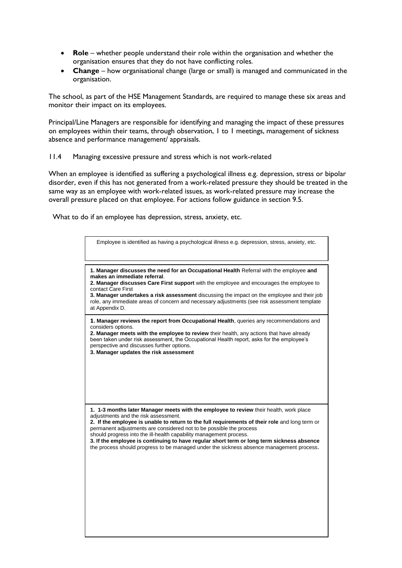- **Role** whether people understand their role within the organisation and whether the organisation ensures that they do not have conflicting roles.
- **Change** how organisational change (large or small) is managed and communicated in the organisation.

The school, as part of the HSE Management Standards, are required to manage these six areas and monitor their impact on its employees.

Principal/Line Managers are responsible for identifying and managing the impact of these pressures on employees within their teams, through observation, 1 to 1 meetings, management of sickness absence and performance management/ appraisals.

#### 11.4 Managing excessive pressure and stress which is not work-related

When an employee is identified as suffering a psychological illness e.g. depression, stress or bipolar disorder, even if this has not generated from a work-related pressure they should be treated in the same way as an employee with work-related issues, as work-related pressure may increase the overall pressure placed on that employee. For actions follow guidance in section 9.5.

What to do if an employee has depression, stress, anxiety, etc.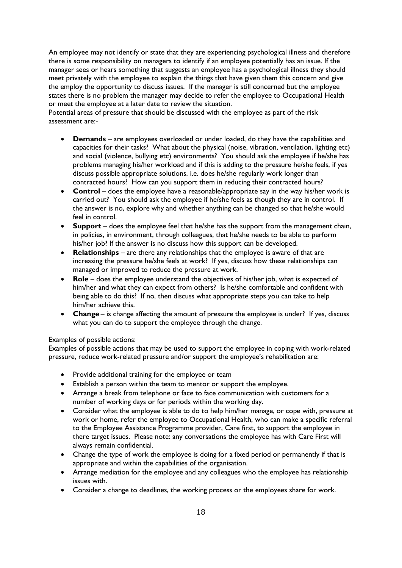An employee may not identify or state that they are experiencing psychological illness and therefore there is some responsibility on managers to identify if an employee potentially has an issue. If the manager sees or hears something that suggests an employee has a psychological illness they should meet privately with the employee to explain the things that have given them this concern and give the employ the opportunity to discuss issues. If the manager is still concerned but the employee states there is no problem the manager may decide to refer the employee to Occupational Health or meet the employee at a later date to review the situation.

Potential areas of pressure that should be discussed with the employee as part of the risk assessment are:-

- **Demands** are employees overloaded or under loaded, do they have the capabilities and capacities for their tasks? What about the physical (noise, vibration, ventilation, lighting etc) and social (violence, bullying etc) environments? You should ask the employee if he/she has problems managing his/her workload and if this is adding to the pressure he/she feels, if yes discuss possible appropriate solutions. i.e. does he/she regularly work longer than contracted hours? How can you support them in reducing their contracted hours?
- **Control** does the employee have a reasonable/appropriate say in the way his/her work is carried out? You should ask the employee if he/she feels as though they are in control. If the answer is no, explore why and whether anything can be changed so that he/she would feel in control.
- **Support** does the employee feel that he/she has the support from the management chain, in policies, in environment, through colleagues, that he/she needs to be able to perform his/her job? If the answer is no discuss how this support can be developed.
- **Relationships** are there any relationships that the employee is aware of that are increasing the pressure he/she feels at work? If yes, discuss how these relationships can managed or improved to reduce the pressure at work.
- **Role** does the employee understand the objectives of his/her job, what is expected of him/her and what they can expect from others? Is he/she comfortable and confident with being able to do this? If no, then discuss what appropriate steps you can take to help him/her achieve this.
- **Change** is change affecting the amount of pressure the employee is under? If yes, discuss what you can do to support the employee through the change.

# Examples of possible actions:

Examples of possible actions that may be used to support the employee in coping with work-related pressure, reduce work-related pressure and/or support the employee's rehabilitation are:

- Provide additional training for the employee or team
- Establish a person within the team to mentor or support the employee.
- Arrange a break from telephone or face to face communication with customers for a number of working days or for periods within the working day.
- Consider what the employee is able to do to help him/her manage, or cope with, pressure at work or home, refer the employee to Occupational Health, who can make a specific referral to the Employee Assistance Programme provider, Care first, to support the employee in there target issues. Please note: any conversations the employee has with Care First will always remain confidential.
- Change the type of work the employee is doing for a fixed period or permanently if that is appropriate and within the capabilities of the organisation.
- Arrange mediation for the employee and any colleagues who the employee has relationship issues with.
- Consider a change to deadlines, the working process or the employees share for work.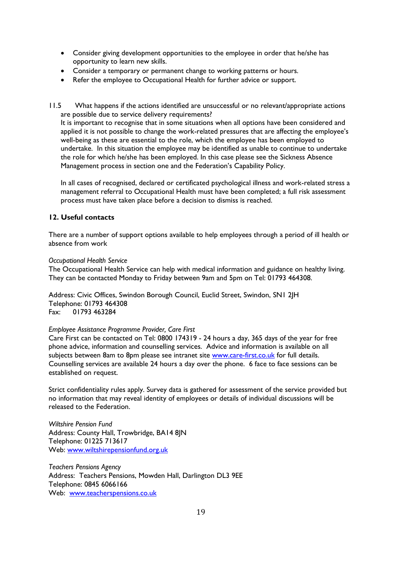- Consider giving development opportunities to the employee in order that he/she has opportunity to learn new skills.
- Consider a temporary or permanent change to working patterns or hours.
- Refer the employee to Occupational Health for further advice or support.
- 11.5 What happens if the actions identified are unsuccessful or no relevant/appropriate actions are possible due to service delivery requirements?

It is important to recognise that in some situations when all options have been considered and applied it is not possible to change the work-related pressures that are affecting the employee's well-being as these are essential to the role, which the employee has been employed to undertake. In this situation the employee may be identified as unable to continue to undertake the role for which he/she has been employed. In this case please see the Sickness Absence Management process in section one and the Federation's Capability Policy.

In all cases of recognised, declared or certificated psychological illness and work-related stress a management referral to Occupational Health must have been completed; a full risk assessment process must have taken place before a decision to dismiss is reached.

# **12. Useful contacts**

There are a number of support options available to help employees through a period of ill health or absence from work

#### *Occupational Health Service*

The Occupational Health Service can help with medical information and guidance on healthy living. They can be contacted Monday to Friday between 9am and 5pm on Tel: 01793 464308.

Address: Civic Offices, Swindon Borough Council, Euclid Street, Swindon, SN1 2JH Telephone: 01793 464308 Fax: 01793 463284

# *Employee Assistance Programme Provider, Care First*

Care First can be contacted on Tel: 0800 174319 - 24 hours a day, 365 days of the year for free phone advice, information and counselling services. Advice and information is available on all subjects between 8am to 8pm please see intranet site [www.care-first.co.uk](http://www.care-first.co.uk/) for full details. Counselling services are available 24 hours a day over the phone. 6 face to face sessions can be established on request.

Strict confidentiality rules apply. Survey data is gathered for assessment of the service provided but no information that may reveal identity of employees or details of individual discussions will be released to the Federation.

*Wiltshire Pension Fund* Address: County Hall, Trowbridge, BA14 8JN Telephone: 01225 713617 Web: [www.wiltshirepensionfund.org.uk](http://www.wiltshirepensionfund.org.uk/)

*Teachers Pensions Agency* Address: Teachers Pensions, Mowden Hall, Darlington DL3 9EE Telephone: 0845 6066166 Web: [www.teacherspensions.co.uk](http://www.teacherspensions.co.uk/)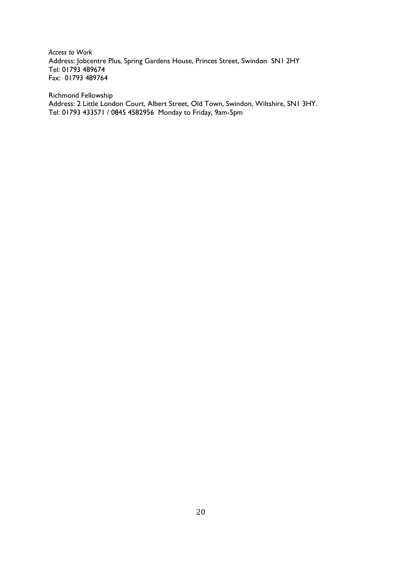*Access to Work* Address: Jobcentre Plus, Spring Gardens House, Princes Street, Swindon SN1 2HY Tel: 01793 489674 Fax: 01793 489764

Richmond Fellowship Address: 2 Little London Court, Albert Street, Old Town, Swindon, Wiltshire, SN1 3HY. Tel: 01793 433571 / 0845 4582956 Monday to Friday, 9am-5pm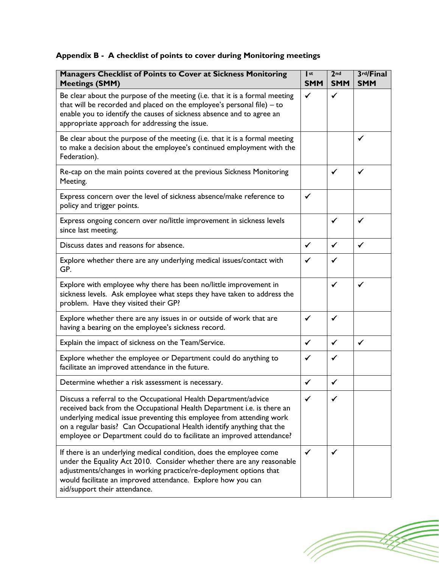# **Appendix B - A checklist of points to cover during Monitoring meetings**

| Managers Checklist of Points to Cover at Sickness Monitoring<br><b>Meetings (SMM)</b>                                                                                                                                                                                                                                                                                 | st<br><b>SMM</b> | 2 <sub>nd</sub><br><b>SMM</b> | 3rd/Final<br><b>SMM</b> |
|-----------------------------------------------------------------------------------------------------------------------------------------------------------------------------------------------------------------------------------------------------------------------------------------------------------------------------------------------------------------------|------------------|-------------------------------|-------------------------|
| Be clear about the purpose of the meeting (i.e. that it is a formal meeting<br>that will be recorded and placed on the employee's personal file) $-$ to<br>enable you to identify the causes of sickness absence and to agree an<br>appropriate approach for addressing the issue.                                                                                    | $\checkmark$     | $\checkmark$                  |                         |
| Be clear about the purpose of the meeting (i.e. that it is a formal meeting<br>to make a decision about the employee's continued employment with the<br>Federation).                                                                                                                                                                                                  |                  |                               | ✓                       |
| Re-cap on the main points covered at the previous Sickness Monitoring<br>Meeting.                                                                                                                                                                                                                                                                                     |                  | $\checkmark$                  | ✓                       |
| Express concern over the level of sickness absence/make reference to<br>policy and trigger points.                                                                                                                                                                                                                                                                    | $\checkmark$     |                               |                         |
| Express ongoing concern over no/little improvement in sickness levels<br>since last meeting.                                                                                                                                                                                                                                                                          |                  | ✓                             | ✓                       |
| Discuss dates and reasons for absence.                                                                                                                                                                                                                                                                                                                                | ✔                | $\checkmark$                  | ✓                       |
| Explore whether there are any underlying medical issues/contact with<br>GP.                                                                                                                                                                                                                                                                                           | ✓                | ✓                             |                         |
| Explore with employee why there has been no/little improvement in<br>sickness levels. Ask employee what steps they have taken to address the<br>problem. Have they visited their GP?                                                                                                                                                                                  |                  | $\checkmark$                  | ✓                       |
| Explore whether there are any issues in or outside of work that are<br>having a bearing on the employee's sickness record.                                                                                                                                                                                                                                            | $\checkmark$     | ✓                             |                         |
| Explain the impact of sickness on the Team/Service.                                                                                                                                                                                                                                                                                                                   | $\checkmark$     | $\checkmark$                  | $\checkmark$            |
| Explore whether the employee or Department could do anything to<br>facilitate an improved attendance in the future.                                                                                                                                                                                                                                                   | ✓                | $\checkmark$                  |                         |
| Determine whether a risk assessment is necessary.                                                                                                                                                                                                                                                                                                                     | ✓                | $\checkmark$                  |                         |
| Discuss a referral to the Occupational Health Department/advice<br>received back from the Occupational Health Department i.e. is there an<br>underlying medical issue preventing this employee from attending work<br>on a regular basis? Can Occupational Health identify anything that the<br>employee or Department could do to facilitate an improved attendance? | $\checkmark$     |                               |                         |
| If there is an underlying medical condition, does the employee come<br>under the Equality Act 2010. Consider whether there are any reasonable<br>adjustments/changes in working practice/re-deployment options that<br>would facilitate an improved attendance. Explore how you can<br>aid/support their attendance.                                                  |                  |                               |                         |

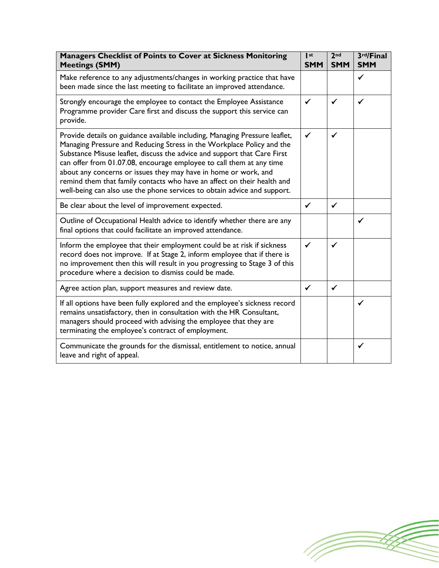| <b>Managers Checklist of Points to Cover at Sickness Monitoring</b><br><b>Meetings (SMM)</b>                                                                                                                                                                                                                                                                                                                                                                                                                                       | I st<br><b>SMM</b> | 2 <sub>nd</sub><br><b>SMM</b> | 3rd/Final<br><b>SMM</b> |
|------------------------------------------------------------------------------------------------------------------------------------------------------------------------------------------------------------------------------------------------------------------------------------------------------------------------------------------------------------------------------------------------------------------------------------------------------------------------------------------------------------------------------------|--------------------|-------------------------------|-------------------------|
| Make reference to any adjustments/changes in working practice that have<br>been made since the last meeting to facilitate an improved attendance.                                                                                                                                                                                                                                                                                                                                                                                  |                    |                               | $\checkmark$            |
| Strongly encourage the employee to contact the Employee Assistance<br>Programme provider Care first and discuss the support this service can<br>provide.                                                                                                                                                                                                                                                                                                                                                                           | ✓                  | $\checkmark$                  | ✓                       |
| Provide details on guidance available including, Managing Pressure leaflet,<br>Managing Pressure and Reducing Stress in the Workplace Policy and the<br>Substance Misuse leaflet, discuss the advice and support that Care First<br>can offer from 01.07.08, encourage employee to call them at any time<br>about any concerns or issues they may have in home or work, and<br>remind them that family contacts who have an affect on their health and<br>well-being can also use the phone services to obtain advice and support. | $\checkmark$       | $\checkmark$                  |                         |
| Be clear about the level of improvement expected.                                                                                                                                                                                                                                                                                                                                                                                                                                                                                  | $\checkmark$       | $\checkmark$                  |                         |
| Outline of Occupational Health advice to identify whether there are any<br>final options that could facilitate an improved attendance.                                                                                                                                                                                                                                                                                                                                                                                             |                    |                               | ✓                       |
| Inform the employee that their employment could be at risk if sickness<br>record does not improve. If at Stage 2, inform employee that if there is<br>no improvement then this will result in you progressing to Stage 3 of this<br>procedure where a decision to dismiss could be made.                                                                                                                                                                                                                                           | ✓                  | $\checkmark$                  |                         |
| Agree action plan, support measures and review date.                                                                                                                                                                                                                                                                                                                                                                                                                                                                               | $\checkmark$       | $\checkmark$                  |                         |
| If all options have been fully explored and the employee's sickness record<br>remains unsatisfactory, then in consultation with the HR Consultant,<br>managers should proceed with advising the employee that they are<br>terminating the employee's contract of employment.                                                                                                                                                                                                                                                       |                    |                               | ✓                       |
| Communicate the grounds for the dismissal, entitlement to notice, annual<br>leave and right of appeal.                                                                                                                                                                                                                                                                                                                                                                                                                             |                    |                               | ✓                       |